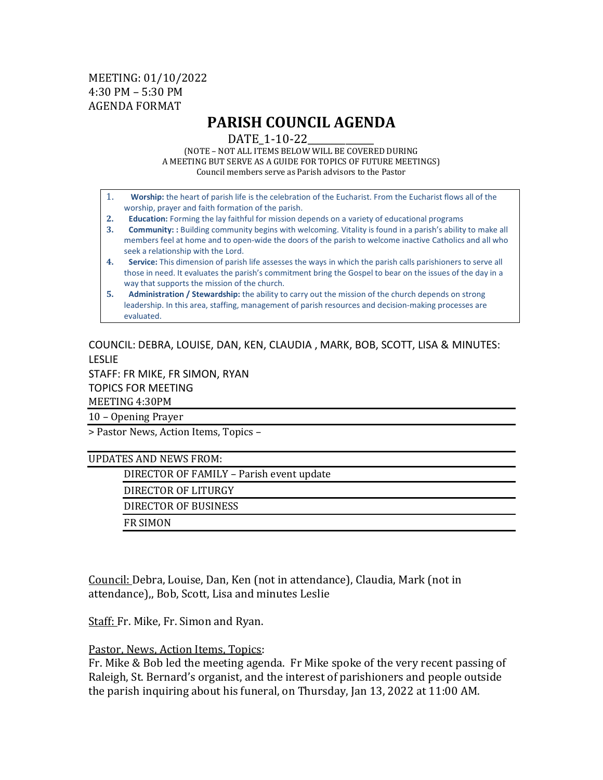## MEETING: 01/10/2022 4:30 PM – 5:30 PM AGENDA FORMAT

## **PARISH COUNCIL AGENDA**

DATE 1-10-22

(NOTE – NOT ALL ITEMS BELOW WILL BE COVERED DURING A MEETING BUT SERVE AS A GUIDE FOR TOPICS OF FUTURE MEETINGS) Council members serve as Parish advisors to the Pastor

- 1. **Worship:** the heart of parish life is the celebration of the Eucharist. From the Eucharist flows all of the worship, prayer and faith formation of the parish.
- **2. Education:** Forming the lay faithful for mission depends on a variety of educational programs
- **3. Community: :** Building community begins with welcoming. Vitality is found in a parish's ability to make all members feel at home and to open-wide the doors of the parish to welcome inactive Catholics and all who seek a relationship with the Lord.
- **4. Service:** This dimension of parish life assesses the ways in which the parish calls parishioners to serve all those in need. It evaluates the parish's commitment bring the Gospel to bear on the issues of the day in a way that supports the mission of the church.
- **5. Administration / Stewardship:** the ability to carry out the mission of the church depends on strong leadership. In this area, staffing, management of parish resources and decision-making processes are evaluated.

COUNCIL: DEBRA, LOUISE, DAN, KEN, CLAUDIA , MARK, BOB, SCOTT, LISA & MINUTES: LESLIE STAFF: FR MIKE, FR SIMON, RYAN TOPICS FOR MEETING MEETING 4:30PM

10 – Opening Prayer

> Pastor News, Action Items, Topics –

UPDATES AND NEWS FROM:

DIRECTOR OF FAMILY – Parish event update

DIRECTOR OF LITURGY

DIRECTOR OF BUSINESS

FR SIMON

Council: Debra, Louise, Dan, Ken (not in attendance), Claudia, Mark (not in attendance),, Bob, Scott, Lisa and minutes Leslie

Staff: Fr. Mike, Fr. Simon and Ryan.

Pastor, News, Action Items, Topics:

Fr. Mike & Bob led the meeting agenda. Fr Mike spoke of the very recent passing of Raleigh, St. Bernard's organist, and the interest of parishioners and people outside the parish inquiring about his funeral, on Thursday, Jan 13, 2022 at 11:00 AM.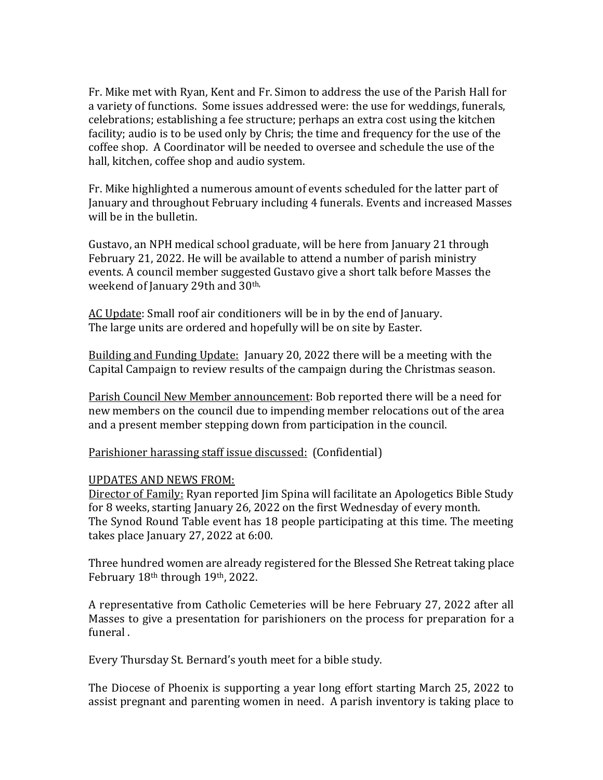Fr. Mike met with Ryan, Kent and Fr. Simon to address the use of the Parish Hall for a variety of functions. Some issues addressed were: the use for weddings, funerals, celebrations; establishing a fee structure; perhaps an extra cost using the kitchen facility; audio is to be used only by Chris; the time and frequency for the use of the coffee shop. A Coordinator will be needed to oversee and schedule the use of the hall, kitchen, coffee shop and audio system.

Fr. Mike highlighted a numerous amount of events scheduled for the latter part of January and throughout February including 4 funerals. Events and increased Masses will be in the bulletin.

Gustavo, an NPH medical school graduate, will be here from January 21 through February 21, 2022. He will be available to attend a number of parish ministry events. A council member suggested Gustavo give a short talk before Masses the weekend of January 29th and 30<sup>th,</sup>

AC Update: Small roof air conditioners will be in by the end of January. The large units are ordered and hopefully will be on site by Easter.

Building and Funding Update: January 20, 2022 there will be a meeting with the Capital Campaign to review results of the campaign during the Christmas season.

Parish Council New Member announcement: Bob reported there will be a need for new members on the council due to impending member relocations out of the area and a present member stepping down from participation in the council.

Parishioner harassing staff issue discussed: (Confidential)

## UPDATES AND NEWS FROM:

Director of Family: Ryan reported Jim Spina will facilitate an Apologetics Bible Study for 8 weeks, starting January 26, 2022 on the first Wednesday of every month. The Synod Round Table event has 18 people participating at this time. The meeting takes place January 27, 2022 at 6:00.

Three hundred women are already registered for the Blessed She Retreat taking place February 18th through 19th, 2022.

A representative from Catholic Cemeteries will be here February 27, 2022 after all Masses to give a presentation for parishioners on the process for preparation for a funeral .

Every Thursday St. Bernard's youth meet for a bible study.

The Diocese of Phoenix is supporting a year long effort starting March 25, 2022 to assist pregnant and parenting women in need. A parish inventory is taking place to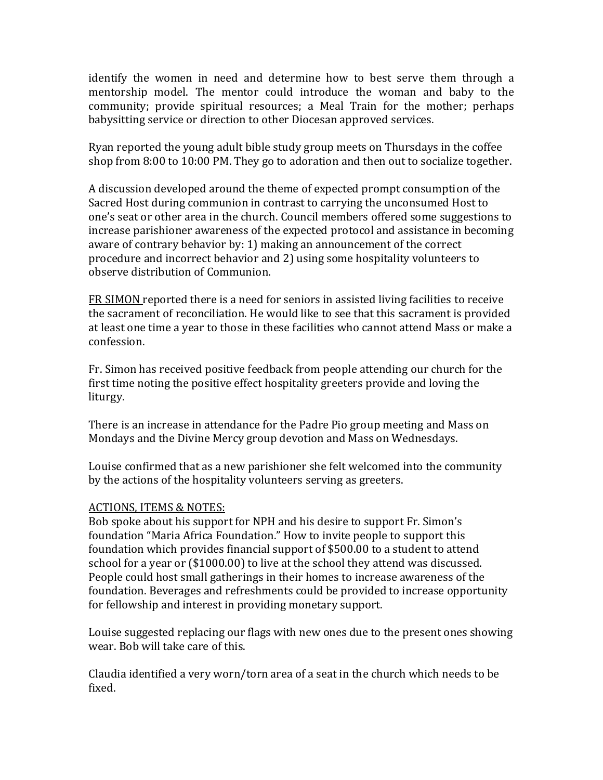identify the women in need and determine how to best serve them through a mentorship model. The mentor could introduce the woman and baby to the community; provide spiritual resources; a Meal Train for the mother; perhaps babysitting service or direction to other Diocesan approved services.

Ryan reported the young adult bible study group meets on Thursdays in the coffee shop from 8:00 to 10:00 PM. They go to adoration and then out to socialize together.

A discussion developed around the theme of expected prompt consumption of the Sacred Host during communion in contrast to carrying the unconsumed Host to one's seat or other area in the church. Council members offered some suggestions to increase parishioner awareness of the expected protocol and assistance in becoming aware of contrary behavior by: 1) making an announcement of the correct procedure and incorrect behavior and 2) using some hospitality volunteers to observe distribution of Communion.

FR SIMON reported there is a need for seniors in assisted living facilities to receive the sacrament of reconciliation. He would like to see that this sacrament is provided at least one time a year to those in these facilities who cannot attend Mass or make a confession.

Fr. Simon has received positive feedback from people attending our church for the first time noting the positive effect hospitality greeters provide and loving the liturgy.

There is an increase in attendance for the Padre Pio group meeting and Mass on Mondays and the Divine Mercy group devotion and Mass on Wednesdays.

Louise confirmed that as a new parishioner she felt welcomed into the community by the actions of the hospitality volunteers serving as greeters.

## ACTIONS, ITEMS & NOTES:

Bob spoke about his support for NPH and his desire to support Fr. Simon's foundation "Maria Africa Foundation." How to invite people to support this foundation which provides financial support of \$500.00 to a student to attend school for a year or (\$1000.00) to live at the school they attend was discussed. People could host small gatherings in their homes to increase awareness of the foundation. Beverages and refreshments could be provided to increase opportunity for fellowship and interest in providing monetary support.

Louise suggested replacing our flags with new ones due to the present ones showing wear. Bob will take care of this.

Claudia identified a very worn/torn area of a seat in the church which needs to be fixed.